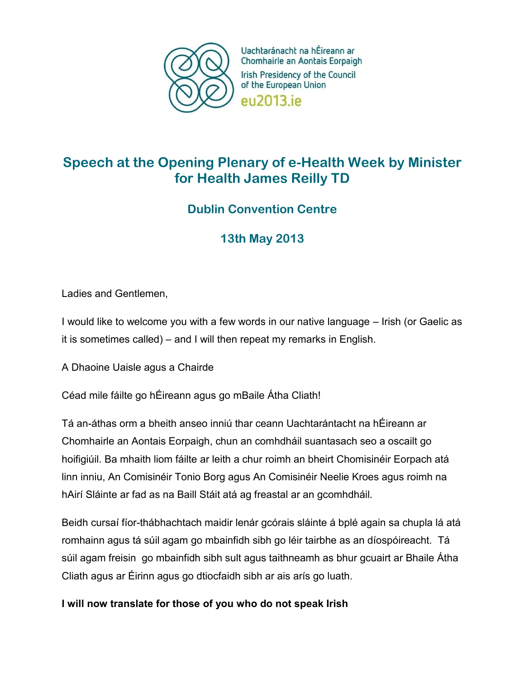

Uachtaránacht na hÉireann ar Chomhairle an Aontais Eorpaigh Irish Presidency of the Council of the European Union eu2013.ie

# **Speech at the Opening Plenary of e-Health Week by Minister for Health James Reilly TD**

## **Dublin Convention Centre**

**13th May 2013**

Ladies and Gentlemen,

I would like to welcome you with a few words in our native language – Irish (or Gaelic as it is sometimes called) – and I will then repeat my remarks in English.

A Dhaoine Uaisle agus a Chairde

Céad mile fáilte go hÉireann agus go mBaile Átha Cliath!

Tá an-áthas orm a bheith anseo inniú thar ceann Uachtarántacht na hÉireann ar Chomhairle an Aontais Eorpaigh, chun an comhdháil suantasach seo a oscailt go hoifigiúil. Ba mhaith liom fáilte ar leith a chur roimh an bheirt Chomisinéir Eorpach atá linn inniu, An Comisinéir Tonio Borg agus An Comisinéir Neelie Kroes agus roimh na hAirí Sláinte ar fad as na Baill Stáit atá ag freastal ar an gcomhdháil.

Beidh cursaí fíor-thábhachtach maidir lenár gcórais sláinte á bplé again sa chupla lá atá romhainn agus tá súil agam go mbainfidh sibh go léir tairbhe as an díospóireacht. Tá súil agam freisin go mbainfidh sibh sult agus taithneamh as bhur gcuairt ar Bhaile Átha Cliath agus ar Éirinn agus go dtiocfaidh sibh ar ais arís go luath.

**I will now translate for those of you who do not speak Irish**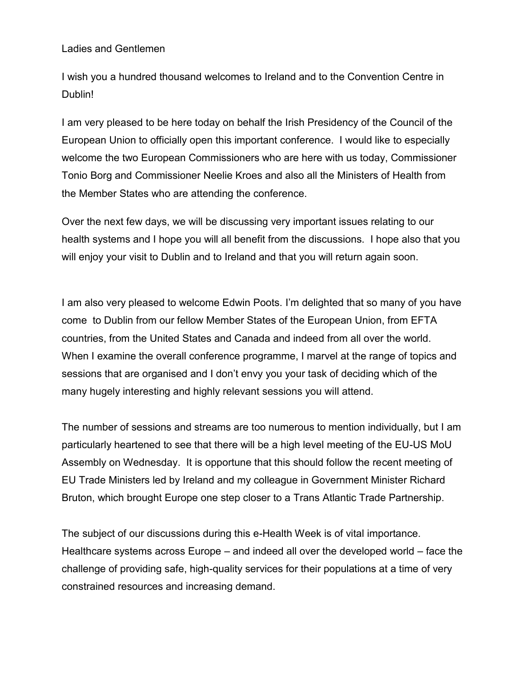#### Ladies and Gentlemen

I wish you a hundred thousand welcomes to Ireland and to the Convention Centre in Dublin!

I am very pleased to be here today on behalf the Irish Presidency of the Council of the European Union to officially open this important conference. I would like to especially welcome the two European Commissioners who are here with us today, Commissioner Tonio Borg and Commissioner Neelie Kroes and also all the Ministers of Health from the Member States who are attending the conference.

Over the next few days, we will be discussing very important issues relating to our health systems and I hope you will all benefit from the discussions. I hope also that you will enjoy your visit to Dublin and to Ireland and that you will return again soon.

I am also very pleased to welcome Edwin Poots. I'm delighted that so many of you have come to Dublin from our fellow Member States of the European Union, from EFTA countries, from the United States and Canada and indeed from all over the world. When I examine the overall conference programme, I marvel at the range of topics and sessions that are organised and I don't envy you your task of deciding which of the many hugely interesting and highly relevant sessions you will attend.

The number of sessions and streams are too numerous to mention individually, but I am particularly heartened to see that there will be a high level meeting of the EU-US MoU Assembly on Wednesday. It is opportune that this should follow the recent meeting of EU Trade Ministers led by Ireland and my colleague in Government Minister Richard Bruton, which brought Europe one step closer to a Trans Atlantic Trade Partnership.

The subject of our discussions during this e-Health Week is of vital importance. Healthcare systems across Europe – and indeed all over the developed world – face the challenge of providing safe, high-quality services for their populations at a time of very constrained resources and increasing demand.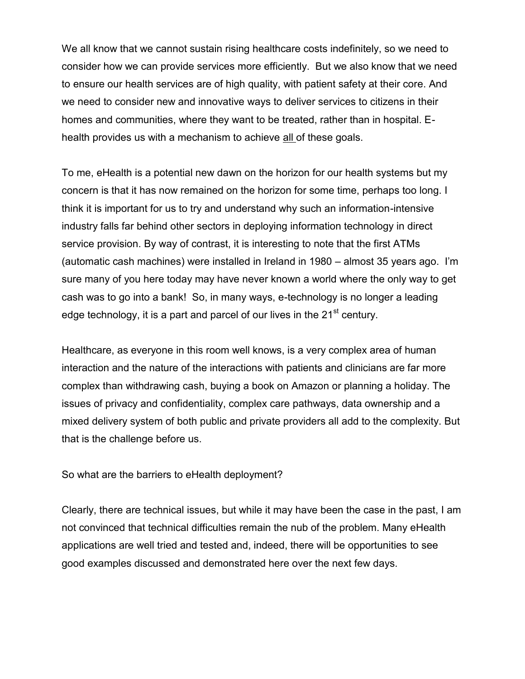We all know that we cannot sustain rising healthcare costs indefinitely, so we need to consider how we can provide services more efficiently. But we also know that we need to ensure our health services are of high quality, with patient safety at their core. And we need to consider new and innovative ways to deliver services to citizens in their homes and communities, where they want to be treated, rather than in hospital. Ehealth provides us with a mechanism to achieve all of these goals.

To me, eHealth is a potential new dawn on the horizon for our health systems but my concern is that it has now remained on the horizon for some time, perhaps too long. I think it is important for us to try and understand why such an information-intensive industry falls far behind other sectors in deploying information technology in direct service provision. By way of contrast, it is interesting to note that the first ATMs (automatic cash machines) were installed in Ireland in 1980 – almost 35 years ago. I'm sure many of you here today may have never known a world where the only way to get cash was to go into a bank! So, in many ways, e-technology is no longer a leading edge technology, it is a part and parcel of our lives in the  $21<sup>st</sup>$  century.

Healthcare, as everyone in this room well knows, is a very complex area of human interaction and the nature of the interactions with patients and clinicians are far more complex than withdrawing cash, buying a book on Amazon or planning a holiday. The issues of privacy and confidentiality, complex care pathways, data ownership and a mixed delivery system of both public and private providers all add to the complexity. But that is the challenge before us.

So what are the barriers to eHealth deployment?

Clearly, there are technical issues, but while it may have been the case in the past, I am not convinced that technical difficulties remain the nub of the problem. Many eHealth applications are well tried and tested and, indeed, there will be opportunities to see good examples discussed and demonstrated here over the next few days.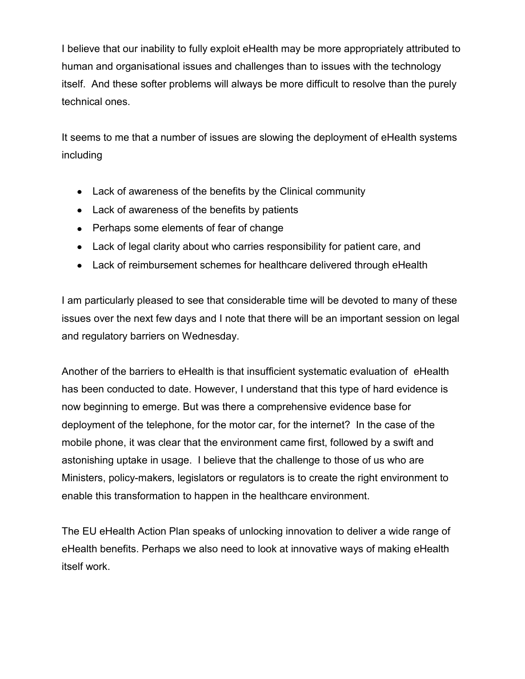I believe that our inability to fully exploit eHealth may be more appropriately attributed to human and organisational issues and challenges than to issues with the technology itself. And these softer problems will always be more difficult to resolve than the purely technical ones.

It seems to me that a number of issues are slowing the deployment of eHealth systems including

- Lack of awareness of the benefits by the Clinical community
- Lack of awareness of the benefits by patients
- Perhaps some elements of fear of change
- Lack of legal clarity about who carries responsibility for patient care, and
- Lack of reimbursement schemes for healthcare delivered through eHealth

I am particularly pleased to see that considerable time will be devoted to many of these issues over the next few days and I note that there will be an important session on legal and regulatory barriers on Wednesday.

Another of the barriers to eHealth is that insufficient systematic evaluation of eHealth has been conducted to date. However, I understand that this type of hard evidence is now beginning to emerge. But was there a comprehensive evidence base for deployment of the telephone, for the motor car, for the internet? In the case of the mobile phone, it was clear that the environment came first, followed by a swift and astonishing uptake in usage. I believe that the challenge to those of us who are Ministers, policy-makers, legislators or regulators is to create the right environment to enable this transformation to happen in the healthcare environment.

The EU eHealth Action Plan speaks of unlocking innovation to deliver a wide range of eHealth benefits. Perhaps we also need to look at innovative ways of making eHealth itself work.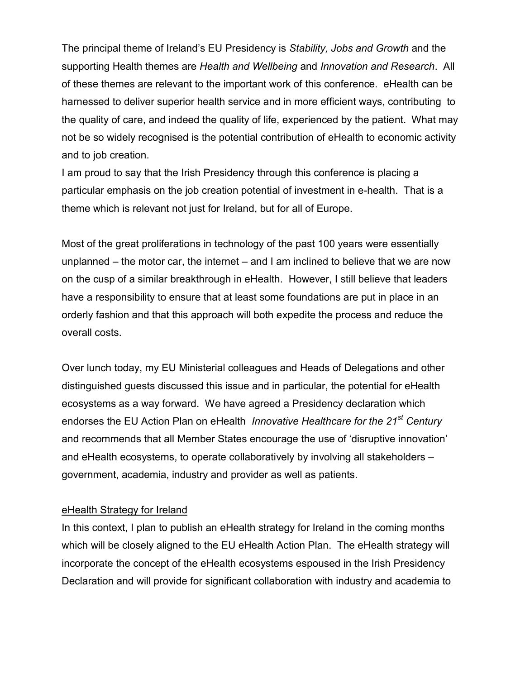The principal theme of Ireland's EU Presidency is *Stability, Jobs and Growth* and the supporting Health themes are *Health and Wellbeing* and *Innovation and Research*. All of these themes are relevant to the important work of this conference. eHealth can be harnessed to deliver superior health service and in more efficient ways, contributing to the quality of care, and indeed the quality of life, experienced by the patient. What may not be so widely recognised is the potential contribution of eHealth to economic activity and to job creation.

I am proud to say that the Irish Presidency through this conference is placing a particular emphasis on the job creation potential of investment in e-health. That is a theme which is relevant not just for Ireland, but for all of Europe.

Most of the great proliferations in technology of the past 100 years were essentially unplanned – the motor car, the internet – and I am inclined to believe that we are now on the cusp of a similar breakthrough in eHealth. However, I still believe that leaders have a responsibility to ensure that at least some foundations are put in place in an orderly fashion and that this approach will both expedite the process and reduce the overall costs.

Over lunch today, my EU Ministerial colleagues and Heads of Delegations and other distinguished guests discussed this issue and in particular, the potential for eHealth ecosystems as a way forward. We have agreed a Presidency declaration which endorses the EU Action Plan on eHealth *Innovative Healthcare for the 21st Century* and recommends that all Member States encourage the use of 'disruptive innovation' and eHealth ecosystems, to operate collaboratively by involving all stakeholders – government, academia, industry and provider as well as patients.

#### eHealth Strategy for Ireland

In this context, I plan to publish an eHealth strategy for Ireland in the coming months which will be closely aligned to the EU eHealth Action Plan. The eHealth strategy will incorporate the concept of the eHealth ecosystems espoused in the Irish Presidency Declaration and will provide for significant collaboration with industry and academia to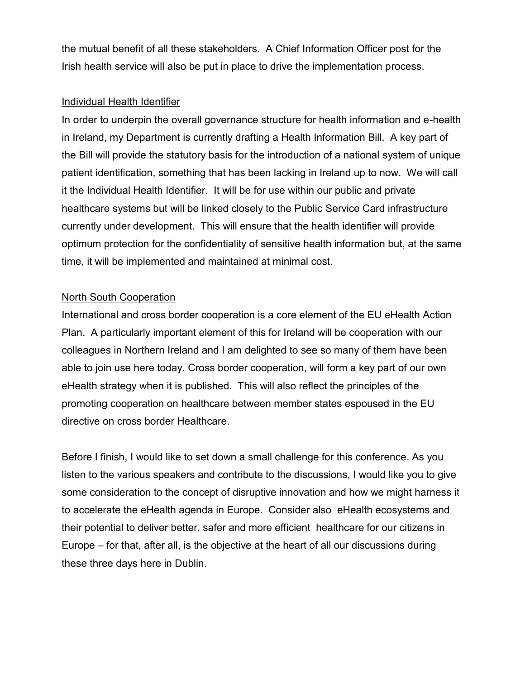the mutual benefit of all these stakeholders. A Chief Information Officer post for the Irish health service will also be put in place to drive the implementation process.

#### Individual Health Identifier

In order to underpin the overall governance structure for health information and e-health in Ireland, my Department is currently drafting a Health Information Bill. A key part of the Bill will provide the statutory basis for the introduction of a national system of unique patient identification, something that has been lacking in Ireland up to now. We will call it the Individual Health Identifier. It will be for use within our public and private healthcare systems but will be linked closely to the Public Service Card infrastructure currently under development. This will ensure that the health identifier will provide optimum protection for the confidentiality of sensitive health information but, at the same time, it will be implemented and maintained at minimal cost.

#### North South Cooperation

International and cross border cooperation is a core element of the EU eHealth Action Plan. A particularly important element of this for Ireland will be cooperation with our colleagues in Northern Ireland and I am delighted to see so many of them have been able to join use here today. Cross border cooperation, will form a key part of our own eHealth strategy when it is published. This will also reflect the principles of the promoting cooperation on healthcare between member states espoused in the EU directive on cross border Healthcare.

Before I finish, I would like to set down a small challenge for this conference. As you listen to the various speakers and contribute to the discussions, I would like you to give some consideration to the concept of disruptive innovation and how we might harness it to accelerate the eHealth agenda in Europe. Consider also eHealth ecosystems and their potential to deliver better, safer and more efficient healthcare for our citizens in Europe – for that, after all, is the objective at the heart of all our discussions during these three days here in Dublin.